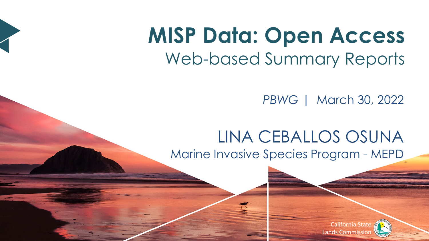## **MISP Data: Open Access** Web-based Summary Reports

*PBWG* | March 30, 2022

#### LINA CEBALLOS OSUNA Marine Invasive Species Program - MEPD

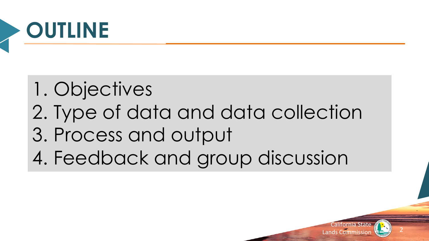

## 1. Objectives

- 2. Type of data and data collection
- 3. Process and output
- 4. Feedback and group discussion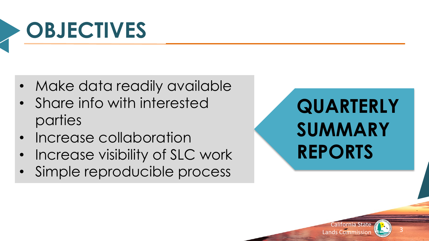# **OBJECTIVES**

- Make data readily available
- Share info with interested parties
- Increase collaboration
- Increase visibility of SLC work
- Simple reproducible process

## **QUARTERLY SUMMARY REPORTS**

California State California State

**<sup>S</sup>TAT<sup>E</sup> <sup>O</sup><sup>F</sup> <sup>C</sup>ALIFORN<sup>I</sup><sup>A</sup>**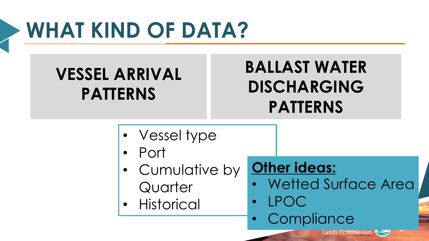# **WHAT KIND OF DATA?**

### **VESSEL ARRIVAL PATTERNS**

### **BALLAST WATER DISCHARGING PATTERNS**

- Vessel type
- Port
- Cumulative by **Quarter**
- **Historical**

### **Other ideas:**

• Wetted Surface Area

**Lands Commission** 

**<sup>S</sup>TAT<sup>E</sup> <sup>O</sup><sup>F</sup> <sup>C</sup>ALIFORN<sup>I</sup><sup>A</sup>**

- LPOC
- Compliance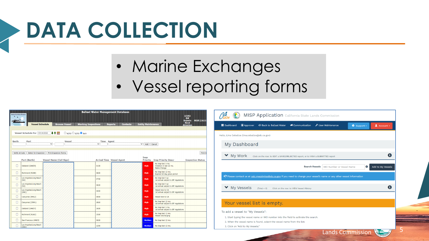# **DATA COLLECTION**

- Marine Exchanges
- Vessel reporting forms

| <b>Ballast Water Management Database</b><br><b>Marine Facilities Division</b><br>1/393<br>$\overline{A}$<br><b>BW</b><br><b>MISP (363 F</b><br><b>Reports</b><br><b>Need</b><br><b>Entity Maintenance</b><br><b>Vessel Schedule</b><br><b>Browse Vessel</b><br><b>Working Inspections</b><br><b>Contacts</b><br><b>Reports</b><br><b>Attention</b> |                                  |  |      |  |               |                                                               |  |
|----------------------------------------------------------------------------------------------------------------------------------------------------------------------------------------------------------------------------------------------------------------------------------------------------------------------------------------------------|----------------------------------|--|------|--|---------------|---------------------------------------------------------------|--|
| 小女子<br>O NOFO O SCFO Both<br>Vessel Schedule For 03/14/2022                                                                                                                                                                                                                                                                                        |                                  |  |      |  |               |                                                               |  |
| <b>Berth</b><br>Port<br><b>Vessel</b><br><b>Time</b> Agent<br>$\check{~}$<br>$\checkmark$<br>$\check{~}$<br>Add<br>Cancel                                                                                                                                                                                                                          |                                  |  |      |  |               |                                                               |  |
| <b>Print S</b><br>Verify Arrivals<br>Select for Inspection<br>Print Inspection Forms                                                                                                                                                                                                                                                               |                                  |  |      |  |               |                                                               |  |
| Insp<br><b>Vessel Name (Call Sign)</b><br><b>Arrival Time Vessel Agent</b><br>Priority<br>Port (Berth)<br><b>Insp Priority Descr</b><br><b>Inspection Status</b>                                                                                                                                                                                   |                                  |  |      |  |               |                                                               |  |
| $\Box$                                                                                                                                                                                                                                                                                                                                             | Oakland (OAK59)                  |  | 0100 |  | High          | No Insp last 3 mo.<br>Violation in last 12 mo.<br>Name Change |  |
| $\Box$                                                                                                                                                                                                                                                                                                                                             | Richmond (RCH8)                  |  | 0600 |  | <b>High</b>   | No Insp last 12 mo.<br>Expired 60 day grace period            |  |
| $\Box$                                                                                                                                                                                                                                                                                                                                             | Los Angeles/Long Beach<br>(H4)   |  | 0700 |  | High          | No Insp last 5 vr.<br>1st arrival subject to BF regulations   |  |
| П                                                                                                                                                                                                                                                                                                                                                  | Los Angeles/Long Beach<br>(92)   |  | 0600 |  | High          | No Insp last 5 vr.<br>1st arrival subject to BF regulations   |  |
| $\Box$                                                                                                                                                                                                                                                                                                                                             | Los Angeles/Long Beach<br>(ANC)  |  | 0400 |  | High          | Vessel new to CA<br>1st arrival subject to BF regulations     |  |
| П                                                                                                                                                                                                                                                                                                                                                  | Carquinez (BNC2)                 |  | 0000 |  | High          | Vessel new to CA                                              |  |
| $\Box$                                                                                                                                                                                                                                                                                                                                             | Carquinez (CRM1)                 |  | 1810 |  | High          | No Insp last 12 mo.<br>1st arrival subject to BF regulations  |  |
| O                                                                                                                                                                                                                                                                                                                                                  | Oakland (OAK57)                  |  | 1600 |  | High          | No Insp last 3 mo.<br>1st arrival subject to BF regulations   |  |
| П                                                                                                                                                                                                                                                                                                                                                  | Richmond (RLW2)                  |  | 1500 |  | High          | No Insp last 12 mo.<br>Vessel Discharging                     |  |
| п                                                                                                                                                                                                                                                                                                                                                  | San Francisco (ANC9)             |  | 0600 |  | Medium        | No Insp last 12 mo.                                           |  |
|                                                                                                                                                                                                                                                                                                                                                    | Los Angeles/Long Beach<br>CANCY. |  | 1200 |  | <b>Medium</b> | No Insp last 12 mo.                                           |  |



- 2. When the vessel name is found, select the vessel name from the list.
- 3. Click on "Add to My Vessels."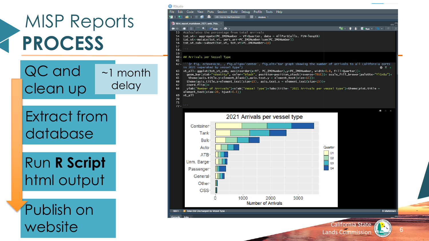



**LIFORN<sup>I</sup><sup>A</sup>**

6

**<sup>S</sup>TAT<sup>E</sup> O**

Lands Commission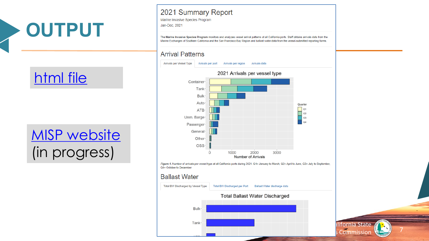

### html file

### **MISP** website (in progress)

#### 2021 Summary Report

Marine Invasive Species Program Jan-Dec, 2021

The Marine Invasive Species Program monitors and analyzes vessel arrival patterns at all California ports. Staff obtains arrivals data from the Marine Exchanges of Southern California and the San Francisco Bay Region and ballast water data from the vessel-submitted reporting forms.

#### **Arrival Patterns**



Figure 1. Number of arrivals per vessel type at all California ports during 2021. Q1= January to March, Q2= April to June, Q3= July to September<br>Q4= October to December

#### **Ballast Water**



alifornia Sta<br>s Commissi